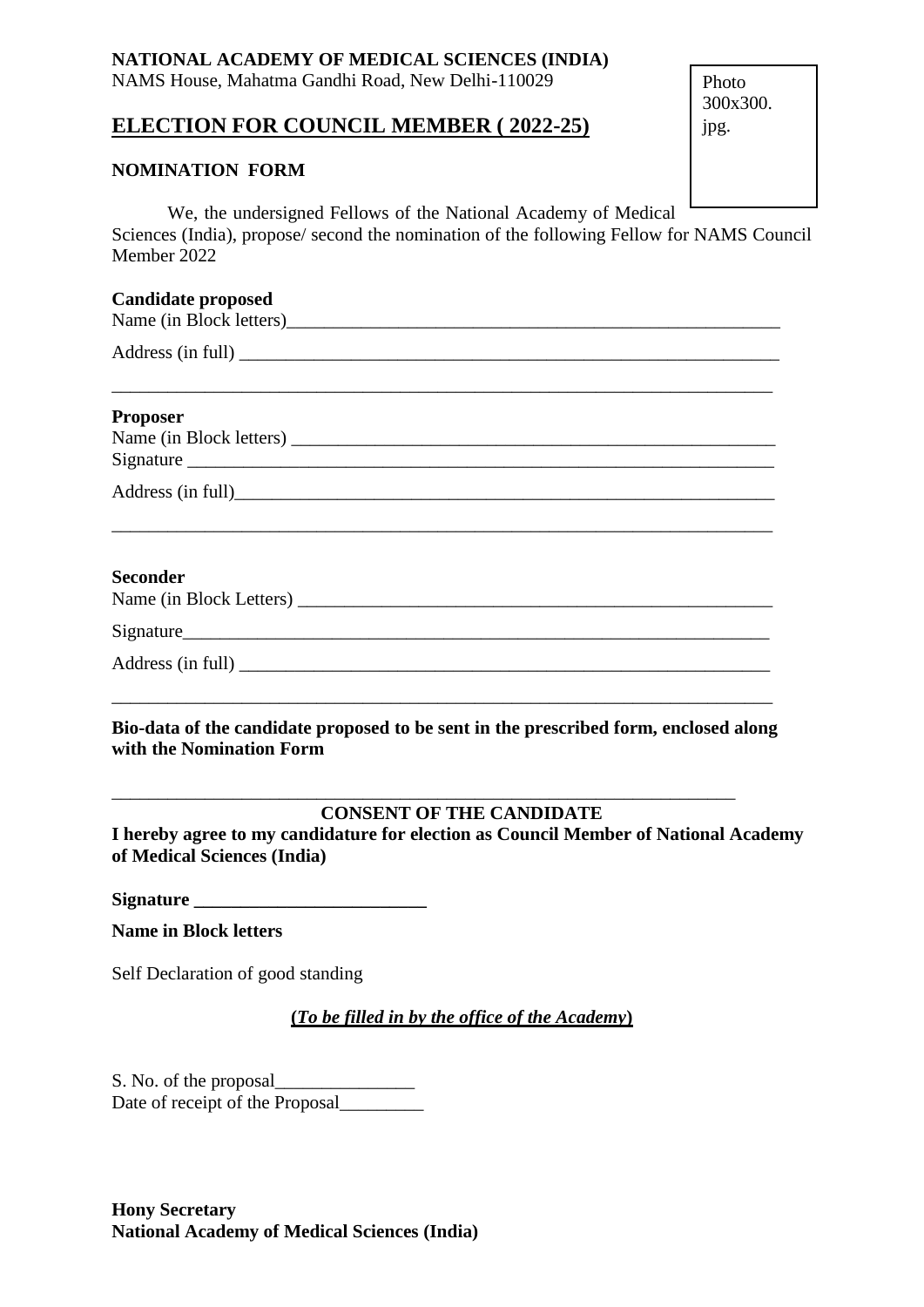## **NATIONAL ACADEMY OF MEDICAL SCIENCES (INDIA)**

NAMS House, Mahatma Gandhi Road, New Delhi-110029

# **ELECTION FOR COUNCIL MEMBER ( 2022-25)**

### **NOMINATION FORM**

Photo 300x300. jpg.

We, the undersigned Fellows of the National Academy of Medical Sciences (India), propose/ second the nomination of the following Fellow for NAMS Council Member 2022

### **Candidate proposed**

| Name (in Block letters) |  |
|-------------------------|--|
|                         |  |

\_\_\_\_\_\_\_\_\_\_\_\_\_\_\_\_\_\_\_\_\_\_\_\_\_\_\_\_\_\_\_\_\_\_\_\_\_\_\_\_\_\_\_\_\_\_\_\_\_\_\_\_\_\_\_\_\_\_\_\_\_\_\_\_\_\_\_\_\_\_\_

Address (in full)

## **Proposer**

| Name (in Block letters) |  |
|-------------------------|--|
| Signature               |  |
|                         |  |

Address (in full)\_\_\_\_\_\_\_\_\_\_\_\_\_\_\_\_\_\_\_\_\_\_\_\_\_\_\_\_\_\_\_\_\_\_\_\_\_\_\_\_\_\_\_\_\_\_\_\_\_\_\_\_\_\_\_\_\_\_

### **Seconder**

| Name (in Block Letters) |  |
|-------------------------|--|
|                         |  |

\_\_\_\_\_\_\_\_\_\_\_\_\_\_\_\_\_\_\_\_\_\_\_\_\_\_\_\_\_\_\_\_\_\_\_\_\_\_\_\_\_\_\_\_\_\_\_\_\_\_\_\_\_\_\_\_\_\_\_\_\_\_\_\_\_\_\_\_\_\_\_

Signature\_\_\_\_\_\_\_\_\_\_\_\_\_\_\_\_\_\_\_\_\_\_\_\_\_\_\_\_\_\_\_\_\_\_\_\_\_\_\_\_\_\_\_\_\_\_\_\_\_\_\_\_\_\_\_\_\_\_\_\_\_\_\_

| Address (in full) |  |
|-------------------|--|
|                   |  |

**Bio-data of the candidate proposed to be sent in the prescribed form, enclosed along with the Nomination Form**

\_\_\_\_\_\_\_\_\_\_\_\_\_\_\_\_\_\_\_\_\_\_\_\_\_\_\_\_\_\_\_\_\_\_\_\_\_\_\_\_\_\_\_\_\_\_\_\_\_\_\_\_\_\_\_\_\_\_\_\_\_\_\_\_\_\_\_

\_\_\_\_\_\_\_\_\_\_\_\_\_\_\_\_\_\_\_\_\_\_\_\_\_\_\_\_\_\_\_\_\_\_\_\_\_\_\_\_\_\_\_\_\_\_\_\_\_\_\_\_\_\_\_\_\_\_\_\_\_\_\_\_\_\_\_\_\_\_\_

# **CONSENT OF THE CANDIDATE**

**I hereby agree to my candidature for election as Council Member of National Academy of Medical Sciences (India)**

**Signature \_\_\_\_\_\_\_\_\_\_\_\_\_\_\_\_\_\_\_\_\_\_\_\_\_**

**Name in Block letters**

Self Declaration of good standing

**(***To be filled in by the office of the Academy***)**

S. No. of the proposal Date of receipt of the Proposal

**Hony Secretary National Academy of Medical Sciences (India)**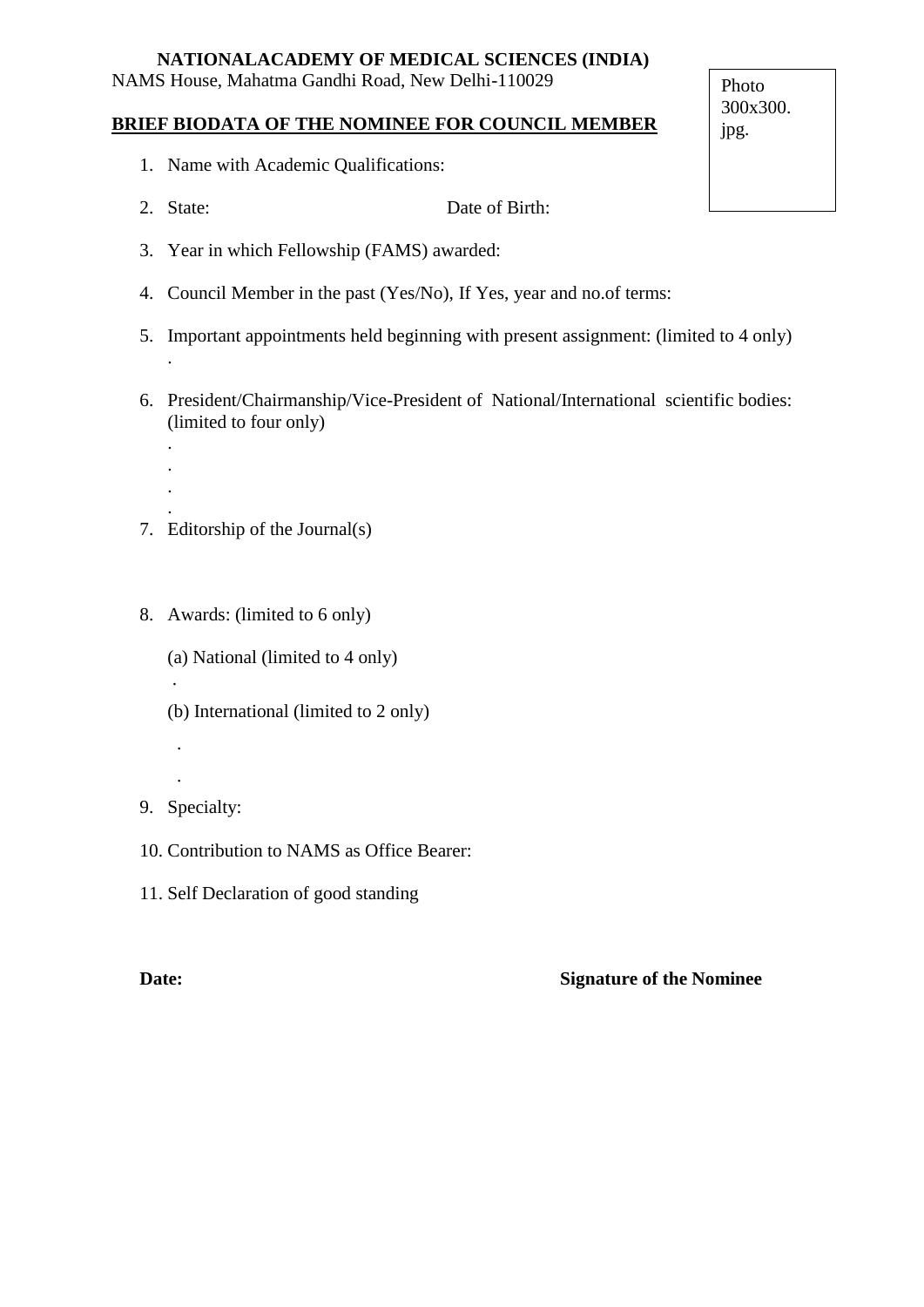# **NATIONALACADEMY OF MEDICAL SCIENCES (INDIA)**

NAMS House, Mahatma Gandhi Road, New Delhi-110029

## **BRIEF BIODATA OF THE NOMINEE FOR COUNCIL MEMBER**

- 1. Name with Academic Qualifications:
- 2. State: Date of Birth:
- 3. Year in which Fellowship (FAMS) awarded:
- 4. Council Member in the past (Yes/No), If Yes, year and no.of terms:
- 5. Important appointments held beginning with present assignment: (limited to 4 only)
- 6. President/Chairmanship/Vice-President of National/International scientific bodies: (limited to four only)
- . 7. Editorship of the Journal(s)
- 8. Awards: (limited to 6 only)
	- (a) National (limited to 4 only)
	- (b) International (limited to 2 only)
- 9. Specialty:

.

.

.

.

. . .

- 10. Contribution to NAMS as Office Bearer:
- 11. Self Declaration of good standing

# **Date: Signature of the Nominee**

Photo 300x300. jpg.